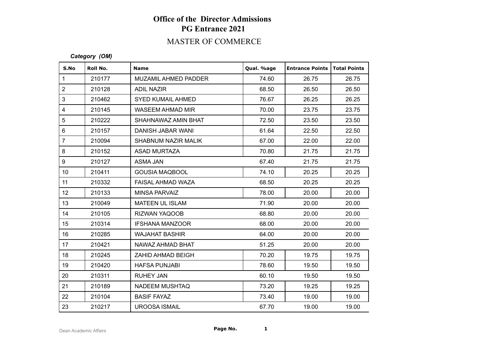# **Office of the Director Admissions PG Entrance 2021**

## MASTER OF COMMERCE

#### *Category (OM)*

| S.No            | Roll No. | <b>Name</b>              | Qual. %age | <b>Entrance Points</b> | Total Points |
|-----------------|----------|--------------------------|------------|------------------------|--------------|
| $\mathbf{1}$    | 210177   | MUZAMIL AHMED PADDER     | 74.60      | 26.75                  | 26.75        |
| $\overline{2}$  | 210128   | <b>ADIL NAZIR</b>        | 68.50      | 26.50                  | 26.50        |
| 3               | 210462   | <b>SYED KUMAIL AHMED</b> | 76.67      | 26.25                  | 26.25        |
| $\overline{4}$  | 210145   | <b>WASEEM AHMAD MIR</b>  | 70.00      | 23.75                  | 23.75        |
| 5               | 210222   | SHAHNAWAZ AMIN BHAT      | 72.50      | 23.50                  | 23.50        |
| $6\phantom{a}$  | 210157   | DANISH JABAR WANI        | 61.64      | 22.50                  | 22.50        |
| $\overline{7}$  | 210094   | SHABNUM NAZIR MALIK      | 67.00      | 22.00                  | 22.00        |
| 8               | 210152   | <b>ASAD MURTAZA</b>      | 70.80      | 21.75                  | 21.75        |
| 9               | 210127   | ASMA JAN                 | 67.40      | 21.75                  | 21.75        |
| 10 <sup>°</sup> | 210411   | <b>GOUSIA MAQBOOL</b>    | 74.10      | 20.25                  | 20.25        |
| 11              | 210332   | FAISAL AHMAD WAZA        | 68.50      | 20.25                  | 20.25        |
| 12 <sup>°</sup> | 210133   | MINSA PARVAIZ            | 78.00      | 20.00                  | 20.00        |
| 13              | 210049   | MATEEN UL ISLAM          | 71.90      | 20.00                  | 20.00        |
| 14              | 210105   | <b>RIZWAN YAQOOB</b>     | 68.80      | 20.00                  | 20.00        |
| 15              | 210314   | <b>IFSHANA MANZOOR</b>   | 68.00      | 20.00                  | 20.00        |
| 16              | 210285   | <b>WAJAHAT BASHIR</b>    | 64.00      | 20.00                  | 20.00        |
| 17              | 210421   | NAWAZ AHMAD BHAT         | 51.25      | 20.00                  | 20.00        |
| 18              | 210245   | ZAHID AHMAD BEIGH        | 70.20      | 19.75                  | 19.75        |
| 19              | 210420   | <b>HAFSA PUNJABI</b>     | 78.60      | 19.50                  | 19.50        |
| 20              | 210311   | <b>RUHEY JAN</b>         | 60.10      | 19.50                  | 19.50        |
| 21              | 210189   | <b>NADEEM MUSHTAQ</b>    | 73.20      | 19.25                  | 19.25        |
| 22              | 210104   | <b>BASIF FAYAZ</b>       | 73.40      | 19.00                  | 19.00        |
| 23              | 210217   | <b>UROOSA ISMAIL</b>     | 67.70      | 19.00                  | 19.00        |